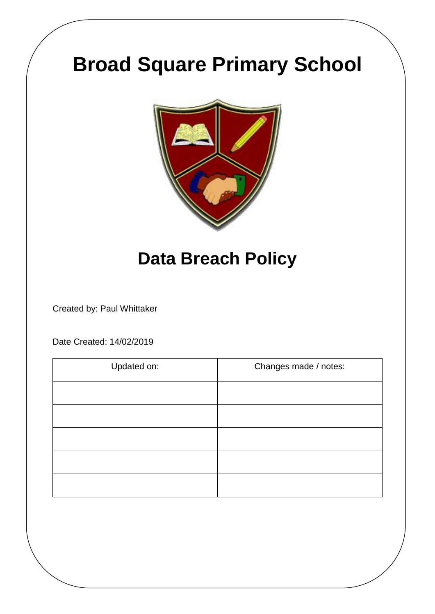# **Broad Square Primary School**



# **Data Breach Policy**

Created by: Paul Whittaker

Date Created: 14/02/2019

| Updated on: | Changes made / notes: |
|-------------|-----------------------|
|             |                       |
|             |                       |
|             |                       |
|             |                       |
|             |                       |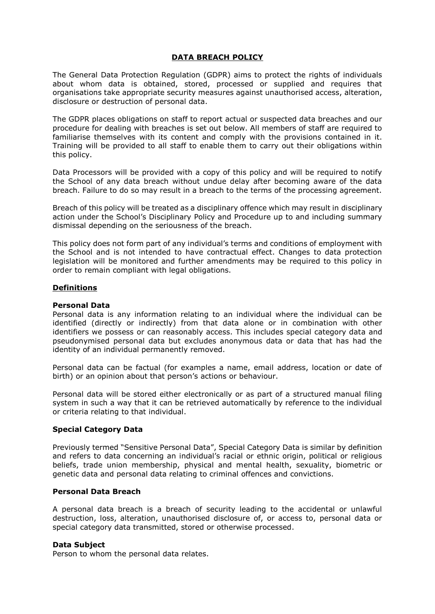#### **DATA BREACH POLICY**

The General Data Protection Regulation (GDPR) aims to protect the rights of individuals about whom data is obtained, stored, processed or supplied and requires that organisations take appropriate security measures against unauthorised access, alteration, disclosure or destruction of personal data.

The GDPR places obligations on staff to report actual or suspected data breaches and our procedure for dealing with breaches is set out below. All members of staff are required to familiarise themselves with its content and comply with the provisions contained in it. Training will be provided to all staff to enable them to carry out their obligations within this policy.

Data Processors will be provided with a copy of this policy and will be required to notify the School of any data breach without undue delay after becoming aware of the data breach. Failure to do so may result in a breach to the terms of the processing agreement.

Breach of this policy will be treated as a disciplinary offence which may result in disciplinary action under the School's Disciplinary Policy and Procedure up to and including summary dismissal depending on the seriousness of the breach.

This policy does not form part of any individual's terms and conditions of employment with the School and is not intended to have contractual effect. Changes to data protection legislation will be monitored and further amendments may be required to this policy in order to remain compliant with legal obligations.

#### **Definitions**

#### **Personal Data**

Personal data is any information relating to an individual where the individual can be identified (directly or indirectly) from that data alone or in combination with other identifiers we possess or can reasonably access. This includes special category data and pseudonymised personal data but excludes anonymous data or data that has had the identity of an individual permanently removed.

Personal data can be factual (for examples a name, email address, location or date of birth) or an opinion about that person's actions or behaviour.

Personal data will be stored either electronically or as part of a structured manual filing system in such a way that it can be retrieved automatically by reference to the individual or criteria relating to that individual.

#### **Special Category Data**

Previously termed "Sensitive Personal Data", Special Category Data is similar by definition and refers to data concerning an individual's racial or ethnic origin, political or religious beliefs, trade union membership, physical and mental health, sexuality, biometric or genetic data and personal data relating to criminal offences and convictions.

#### **Personal Data Breach**

A personal data breach is a breach of security leading to the accidental or unlawful destruction, loss, alteration, unauthorised disclosure of, or access to, personal data or special category data transmitted, stored or otherwise processed.

#### **Data Subject**

Person to whom the personal data relates.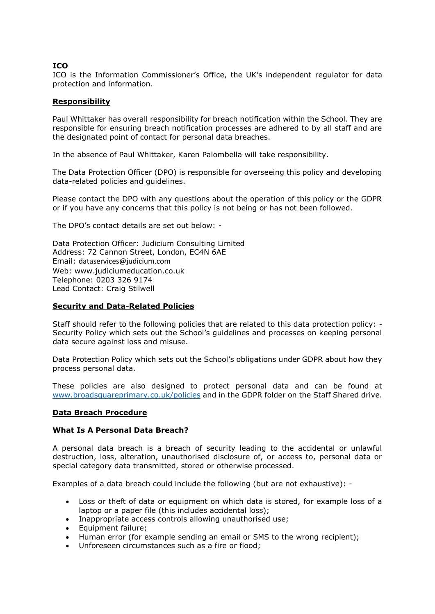# **ICO**

ICO is the Information Commissioner's Office, the UK's independent regulator for data protection and information.

# **Responsibility**

Paul Whittaker has overall responsibility for breach notification within the School. They are responsible for ensuring breach notification processes are adhered to by all staff and are the designated point of contact for personal data breaches.

In the absence of Paul Whittaker, Karen Palombella will take responsibility.

The Data Protection Officer (DPO) is responsible for overseeing this policy and developing data-related policies and guidelines.

Please contact the DPO with any questions about the operation of this policy or the GDPR or if you have any concerns that this policy is not being or has not been followed.

The DPO's contact details are set out below: -

Data Protection Officer: Judicium Consulting Limited Address: 72 Cannon Street, London, EC4N 6AE Email: [dataservices@judicium.com](mailto:dataservices@judicium.com) Web: www.judiciumeducation.co.uk Telephone: 0203 326 9174 Lead Contact: Craig Stilwell

# **Security and Data-Related Policies**

Staff should refer to the following policies that are related to this data protection policy: - Security Policy which sets out the School's guidelines and processes on keeping personal data secure against loss and misuse.

Data Protection Policy which sets out the School's obligations under GDPR about how they process personal data.

These policies are also designed to protect personal data and can be found at [www.broadsquareprimary.co.uk/policies](http://www.broadsquareprimary.co.uk/policies) and in the GDPR folder on the Staff Shared drive.

# **Data Breach Procedure**

#### **What Is A Personal Data Breach?**

A personal data breach is a breach of security leading to the accidental or unlawful destruction, loss, alteration, unauthorised disclosure of, or access to, personal data or special category data transmitted, stored or otherwise processed.

Examples of a data breach could include the following (but are not exhaustive): -

- Loss or theft of data or equipment on which data is stored, for example loss of a laptop or a paper file (this includes accidental loss);
- Inappropriate access controls allowing unauthorised use;
- Equipment failure:
- Human error (for example sending an email or SMS to the wrong recipient);
- Unforeseen circumstances such as a fire or flood;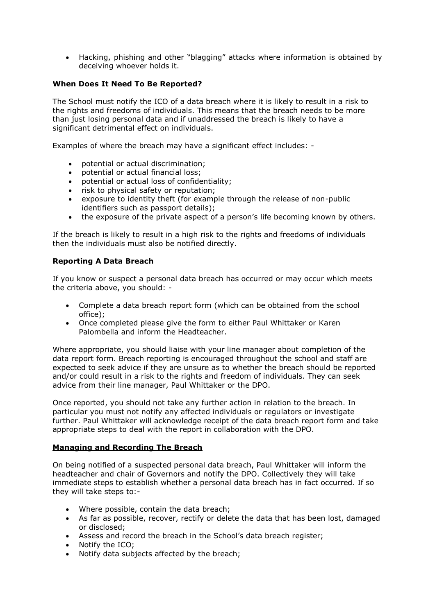Hacking, phishing and other "blagging" attacks where information is obtained by deceiving whoever holds it.

# **When Does It Need To Be Reported?**

The School must notify the ICO of a data breach where it is likely to result in a risk to the rights and freedoms of individuals. This means that the breach needs to be more than just losing personal data and if unaddressed the breach is likely to have a significant detrimental effect on individuals.

Examples of where the breach may have a significant effect includes: -

- potential or actual discrimination;
- potential or actual financial loss;
- potential or actual loss of confidentiality;
- risk to physical safety or reputation;
- exposure to identity theft (for example through the release of non-public identifiers such as passport details);
- the exposure of the private aspect of a person's life becoming known by others.

If the breach is likely to result in a high risk to the rights and freedoms of individuals then the individuals must also be notified directly.

# **Reporting A Data Breach**

If you know or suspect a personal data breach has occurred or may occur which meets the criteria above, you should: -

- Complete a data breach report form (which can be obtained from the school office);
- Once completed please give the form to either Paul Whittaker or Karen Palombella and inform the Headteacher.

Where appropriate, you should liaise with your line manager about completion of the data report form. Breach reporting is encouraged throughout the school and staff are expected to seek advice if they are unsure as to whether the breach should be reported and/or could result in a risk to the rights and freedom of individuals. They can seek advice from their line manager, Paul Whittaker or the DPO.

Once reported, you should not take any further action in relation to the breach. In particular you must not notify any affected individuals or regulators or investigate further. Paul Whittaker will acknowledge receipt of the data breach report form and take appropriate steps to deal with the report in collaboration with the DPO.

#### **Managing and Recording The Breach**

On being notified of a suspected personal data breach, Paul Whittaker will inform the headteacher and chair of Governors and notify the DPO. Collectively they will take immediate steps to establish whether a personal data breach has in fact occurred. If so they will take steps to:-

- Where possible, contain the data breach:
- As far as possible, recover, rectify or delete the data that has been lost, damaged or disclosed;
- Assess and record the breach in the School's data breach register;
- Notify the ICO;
- Notify data subjects affected by the breach;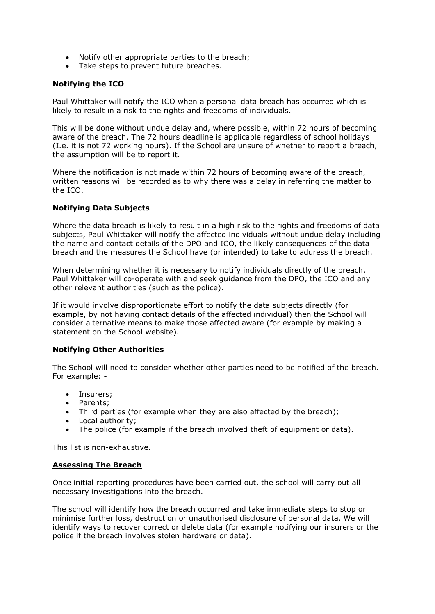- Notify other appropriate parties to the breach;
- Take steps to prevent future breaches.

# **Notifying the ICO**

Paul Whittaker will notify the ICO when a personal data breach has occurred which is likely to result in a risk to the rights and freedoms of individuals.

This will be done without undue delay and, where possible, within 72 hours of becoming aware of the breach. The 72 hours deadline is applicable regardless of school holidays (I.e. it is not 72 working hours). If the School are unsure of whether to report a breach, the assumption will be to report it.

Where the notification is not made within 72 hours of becoming aware of the breach, written reasons will be recorded as to why there was a delay in referring the matter to the ICO.

# **Notifying Data Subjects**

Where the data breach is likely to result in a high risk to the rights and freedoms of data subjects, Paul Whittaker will notify the affected individuals without undue delay including the name and contact details of the DPO and ICO, the likely consequences of the data breach and the measures the School have (or intended) to take to address the breach.

When determining whether it is necessary to notify individuals directly of the breach, Paul Whittaker will co-operate with and seek guidance from the DPO, the ICO and any other relevant authorities (such as the police).

If it would involve disproportionate effort to notify the data subjects directly (for example, by not having contact details of the affected individual) then the School will consider alternative means to make those affected aware (for example by making a statement on the School website).

#### **Notifying Other Authorities**

The School will need to consider whether other parties need to be notified of the breach. For example: -

- Insurers;
- Parents;
- Third parties (for example when they are also affected by the breach);
- Local authority;
- The police (for example if the breach involved theft of equipment or data).

This list is non-exhaustive.

#### **Assessing The Breach**

Once initial reporting procedures have been carried out, the school will carry out all necessary investigations into the breach.

The school will identify how the breach occurred and take immediate steps to stop or minimise further loss, destruction or unauthorised disclosure of personal data. We will identify ways to recover correct or delete data (for example notifying our insurers or the police if the breach involves stolen hardware or data).